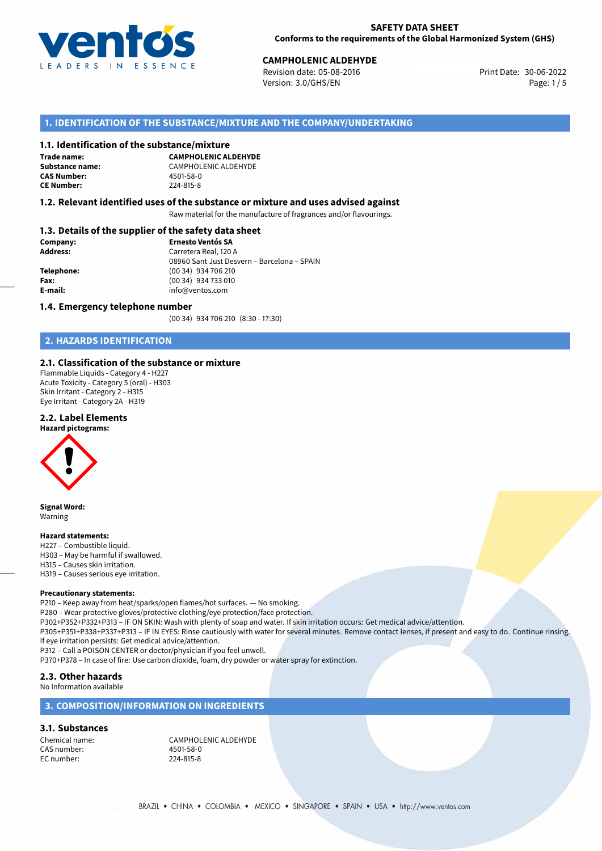

30-06-2022 **CAMPHOLENIC ALDEHYDE** Revision date: 05-08-2016 Print Date: Version: 3.0/GHS/EN Page: 1/5

#### **1. IDENTIFICATION OF THE SUBSTANCE/MIXTURE AND THE COMPANY/UNDERTAKING**

#### **1.1. Identification of the substance/mixture**

**Trade name: CAS Number: CE Number:** 224-815-8

**CAMPHOLENIC ALDEHYDE Substance name:** CAMPHOLENIC ALDEHYDE<br> **CAS Number:** 4501-58-0

#### **1.2. Relevant identified uses of the substance or mixture and uses advised against**

Raw material for the manufacture of fragrances and/or flavourings.

#### **1.3. Details of the supplier of the safety data sheet**

| Company:        | <b>Ernesto Ventós SA</b>                    |  |
|-----------------|---------------------------------------------|--|
| <b>Address:</b> | Carretera Real, 120 A                       |  |
|                 | 08960 Sant Just Desvern - Barcelona - SPAIN |  |
| Telephone:      | (00 34) 934 706 210                         |  |
| Fax:            | (00 34) 934 733 010                         |  |
| E-mail:         | info@ventos.com                             |  |
|                 |                                             |  |

#### **1.4. Emergency telephone number**

(00 34) 934 706 210 (8:30 - 17:30)

#### **2. HAZARDS IDENTIFICATION**

#### **2.1. Classification of the substance or mixture**

Flammable Liquids - Category 4 - H227 Acute Toxicity - Category 5 (oral) - H303 Skin Irritant - Category 2 - H315 Eye Irritant - Category 2A - H319

# **2.2. Label Elements**

#### **Hazard pictograms:**



**Signal Word:** Warning

#### **Hazard statements:**

H227 – Combustible liquid. H303 – May be harmful if swallowed. H315 – Causes skin irritation. H319 – Causes serious eye irritation.

#### **Precautionary statements:**

P210 – Keep away from heat/sparks/open flames/hot surfaces. — No smoking. P280 – Wear protective gloves/protective clothing/eye protection/face protection. P302+P352+P332+P313 – IF ON SKIN: Wash with plenty of soap and water. If skin irritation occurs: Get medical advice/attention. P305+P351+P338+P337+P313 – IF IN EYES: Rinse cautiously with water for several minutes. Remove contact lenses, if present and easy to do. Continue rinsing. If eye irritation persists: Get medical advice/attention.

P312 – Call a POISON CENTER or doctor/physician if you feel unwell.

P370+P378 – In case of fire: Use carbon dioxide, foam, dry powder or water spray for extinction.

#### **2.3. Other hazards**

#### No Information available

#### **3. COMPOSITION/INFORMATION ON INGREDIENTS**

#### **3.1. Substances**

CAS number: EC number: 224-815-8

Chemical name: CAMPHOLENIC ALDEHYDE<br>
CAS number: 19901-58-0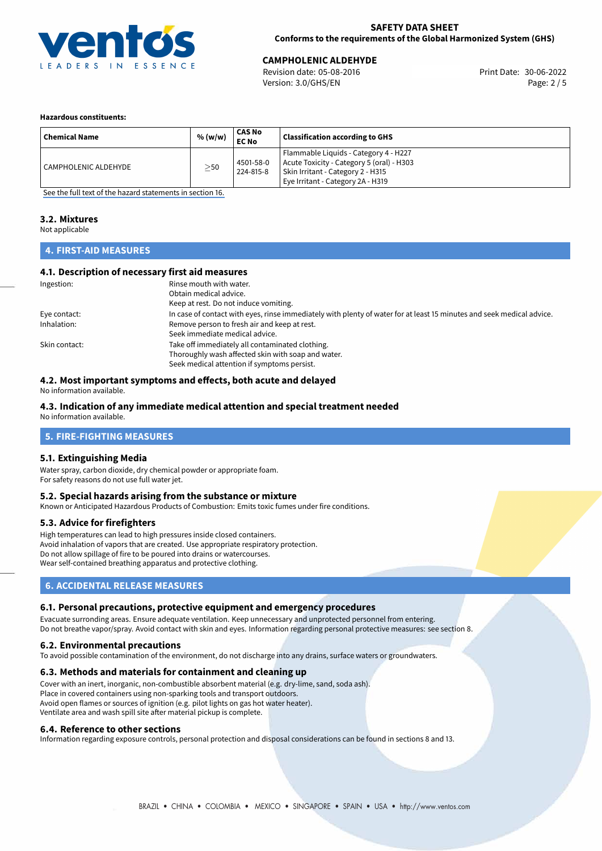

**CAMPHOLENIC ALDEHYDE**<br>
Revision date: 05-08-2016 Print Date: 30-06-2022 Version: 3.0/GHS/EN Page: 2 / 5

#### **Hazardous constituents:**

| <b>Chemical Name</b> | % (w/w)   | CAS No<br><b>EC No</b> | <b>Classification according to GHS</b>                                                                                                                       |
|----------------------|-----------|------------------------|--------------------------------------------------------------------------------------------------------------------------------------------------------------|
| CAMPHOLENIC ALDEHYDE | $\geq$ 50 | 4501-58-0<br>224-815-8 | Flammable Liquids - Category 4 - H227<br>Acute Toxicity - Category 5 (oral) - H303<br>Skin Irritant - Category 2 - H315<br>Eye Irritant - Category 2A - H319 |

[See the full text of the hazard statements in section 16.](#page-4-0)

# **3.2. Mixtures**

Not applicable

## **4. FIRST-AID MEASURES**

#### **4.1. Description of necessary first aid measures**

| Ingestion:    | Rinse mouth with water.<br>Obtain medical advice.                                                                                                    |
|---------------|------------------------------------------------------------------------------------------------------------------------------------------------------|
|               | Keep at rest. Do not induce vomiting.                                                                                                                |
| Eye contact:  | In case of contact with eyes, rinse immediately with plenty of water for at least 15 minutes and seek medical advice.                                |
| Inhalation:   | Remove person to fresh air and keep at rest.<br>Seek immediate medical advice.                                                                       |
| Skin contact: | Take off immediately all contaminated clothing.<br>Thoroughly wash affected skin with soap and water.<br>Seek medical attention if symptoms persist. |

#### **4.2. Most important symptoms and effects, both acute and delayed**

No information available.

#### **4.3. Indication of any immediate medical attention and special treatment needed**

No information available.

#### **5. FIRE-FIGHTING MEASURES**

#### **5.1. Extinguishing Media**

Water spray, carbon dioxide, dry chemical powder or appropriate foam. For safety reasons do not use full water jet.

#### **5.2. Special hazards arising from the substance or mixture**

Known or Anticipated Hazardous Products of Combustion: Emits toxic fumes under fire conditions.

#### **5.3. Advice for firefighters**

High temperatures can lead to high pressures inside closed containers. Avoid inhalation of vapors that are created. Use appropriate respiratory protection. Do not allow spillage of fire to be poured into drains or watercourses. Wear self-contained breathing apparatus and protective clothing.

## **6. ACCIDENTAL RELEASE MEASURES**

#### **6.1. Personal precautions, protective equipment and emergency procedures**

Evacuate surronding areas. Ensure adequate ventilation. Keep unnecessary and unprotected personnel from entering. Do not breathe vapor/spray. Avoid contact with skin and eyes. Information regarding personal protective measures: see section 8.

#### **6.2. Environmental precautions**

To avoid possible contamination of the environment, do not discharge into any drains, surface waters or groundwaters.

#### **6.3. Methods and materials for containment and cleaning up**

Cover with an inert, inorganic, non-combustible absorbent material (e.g. dry-lime, sand, soda ash). Place in covered containers using non-sparking tools and transport outdoors. Avoid open flames or sources of ignition (e.g. pilot lights on gas hot water heater). Ventilate area and wash spill site after material pickup is complete.

#### **6.4. Reference to other sections**

Information regarding exposure controls, personal protection and disposal considerations can be found in sections 8 and 13.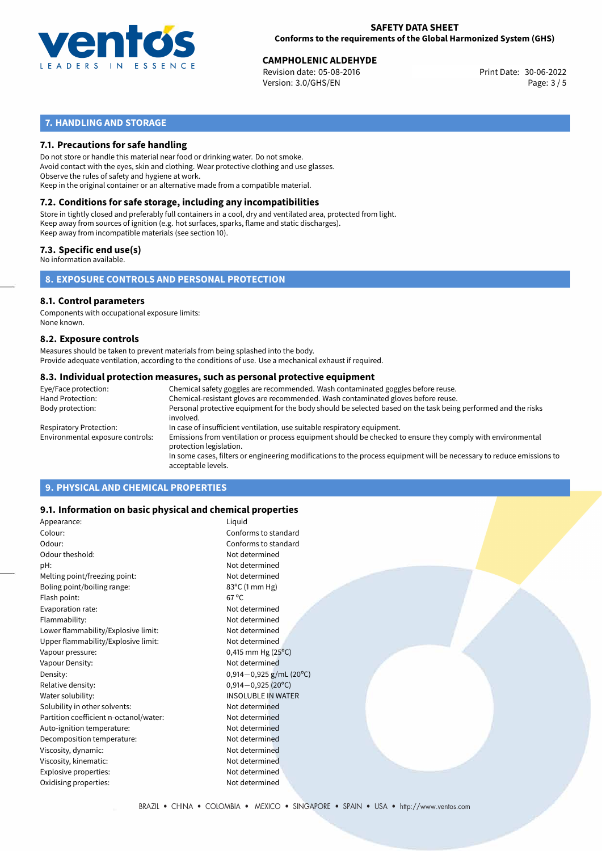

# **CAMPHOLENIC ALDEHYDE**<br>30-06-2022 Revision date: 05-08-2016

Revision date: 05-08-2016 Version: 3.0/GHS/EN Page: 3 / 5

# **7. HANDLING AND STORAGE**

#### **7.1. Precautions for safe handling**

Do not store or handle this material near food or drinking water. Do not smoke. Avoid contact with the eyes, skin and clothing. Wear protective clothing and use glasses. Observe the rules of safety and hygiene at work. Keep in the original container or an alternative made from a compatible material.

# **7.2. Conditions for safe storage, including any incompatibilities**

Store in tightly closed and preferably full containers in a cool, dry and ventilated area, protected from light. Keep away from sources of ignition (e.g. hot surfaces, sparks, flame and static discharges). Keep away from incompatible materials (see section 10).

#### **7.3. Specific end use(s)**

No information available.

**8. EXPOSURE CONTROLS AND PERSONAL PROTECTION**

# **8.1. Control parameters**

Components with occupational exposure limits: None known.

#### **8.2. Exposure controls**

Measures should be taken to prevent materials from being splashed into the body. Provide adequate ventilation, according to the conditions of use. Use a mechanical exhaust if required.

#### **8.3. Individual protection measures, such as personal protective equipment**

| Eye/Face protection:             | Chemical safety goggles are recommended. Wash contaminated goggles before reuse.                                                            |
|----------------------------------|---------------------------------------------------------------------------------------------------------------------------------------------|
| Hand Protection:                 | Chemical-resistant gloves are recommended. Wash contaminated gloves before reuse.                                                           |
| Body protection:                 | Personal protective equipment for the body should be selected based on the task being performed and the risks<br>involved.                  |
| Respiratory Protection:          | In case of insufficient ventilation, use suitable respiratory equipment.                                                                    |
| Environmental exposure controls: | Emissions from ventilation or process equipment should be checked to ensure they comply with environmental<br>protection legislation.       |
|                                  | In some cases, filters or engineering modifications to the process equipment will be necessary to reduce emissions to<br>acceptable levels. |
|                                  |                                                                                                                                             |

## **9. PHYSICAL AND CHEMICAL PROPERTIES**

#### **9.1. Information on basic physical and chemical properties**

| Appearance:                            | Liquid                       |
|----------------------------------------|------------------------------|
| Colour:                                | Conforms to standard         |
| Odour:                                 | Conforms to standard         |
| Odour theshold:                        | Not determined               |
| pH:                                    | Not determined               |
| Melting point/freezing point:          | Not determined               |
| Boling point/boiling range:            | 83°C (1 mm Hg)               |
| Flash point:                           | $67^{\circ}$ C               |
| Evaporation rate:                      | Not determined               |
| Flammability:                          | Not determined               |
| Lower flammability/Explosive limit:    | Not determined               |
| Upper flammability/Explosive limit:    | Not determined               |
| Vapour pressure:                       | $0,415$ mm Hg (25°C)         |
| Vapour Density:                        | Not determined               |
| Density:                               | $0,914-0,925$ g/mL (20°C)    |
| Relative density:                      | $0,914 - 0,925(20^{\circ}C)$ |
| Water solubility:                      | <b>INSOLUBLE IN WATER</b>    |
| Solubility in other solvents:          | Not determined               |
| Partition coefficient n-octanol/water: | Not determined               |
| Auto-ignition temperature:             | Not determined               |
| Decomposition temperature:             | Not determined               |
| Viscosity, dynamic:                    | Not determined               |
| Viscosity, kinematic:                  | Not determined               |
| Explosive properties:                  | Not determined               |
| Oxidising properties:                  | Not determined               |
|                                        |                              |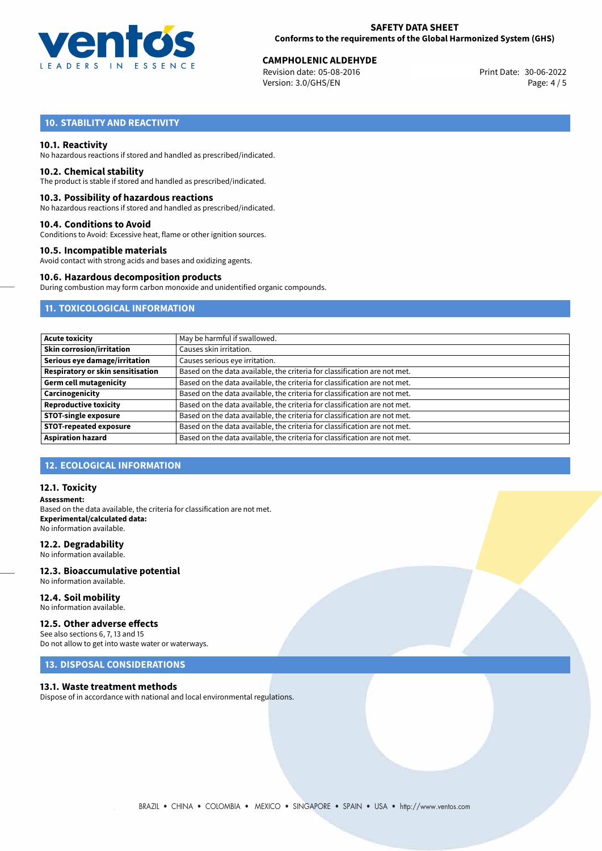

# **CAMPHOLENIC ALDEHYDE**<br>30-06-2022 Revision date: 05-08-2016

Revision date: 05-08-2016 Version: 3.0/GHS/EN Page: 4 / 5

# **10. STABILITY AND REACTIVITY**

#### **10.1. Reactivity**

No hazardous reactions if stored and handled as prescribed/indicated.

#### **10.2. Chemical stability**

The product is stable if stored and handled as prescribed/indicated.

#### **10.3. Possibility of hazardous reactions**

No hazardous reactions if stored and handled as prescribed/indicated.

#### **10.4. Conditions to Avoid**

Conditions to Avoid: Excessive heat, flame or other ignition sources.

#### **10.5. Incompatible materials**

Avoid contact with strong acids and bases and oxidizing agents.

#### **10.6. Hazardous decomposition products**

During combustion may form carbon monoxide and unidentified organic compounds.

#### **11. TOXICOLOGICAL INFORMATION**

| May be harmful if swallowed.                                              |
|---------------------------------------------------------------------------|
| Causes skin irritation.                                                   |
| Causes serious eye irritation.                                            |
| Based on the data available, the criteria for classification are not met. |
| Based on the data available, the criteria for classification are not met. |
| Based on the data available, the criteria for classification are not met. |
| Based on the data available, the criteria for classification are not met. |
| Based on the data available, the criteria for classification are not met. |
| Based on the data available, the criteria for classification are not met. |
| Based on the data available, the criteria for classification are not met. |
|                                                                           |

## **12. ECOLOGICAL INFORMATION**

#### **12.1. Toxicity**

**Assessment:** Based on the data available, the criteria for classification are not met. **Experimental/calculated data:** No information available.

#### **12.2. Degradability**

No information available.

#### **12.3. Bioaccumulative potential** No information available.

**12.4. Soil mobility**

# No information available.

#### **12.5. Other adverse effects**

See also sections 6, 7, 13 and 15 Do not allow to get into waste water or waterways.

#### **13. DISPOSAL CONSIDERATIONS**

#### **13.1. Waste treatment methods**

Dispose of in accordance with national and local environmental regulations.